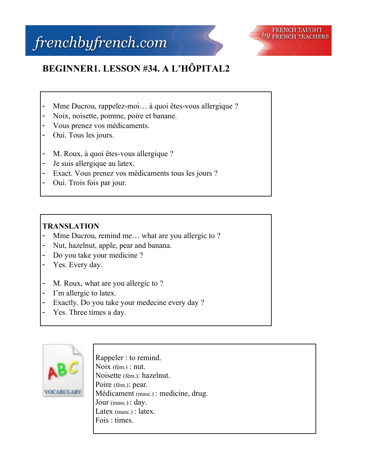## frenchbyfrench.com



## **BEGINNER1. LESSON #34. A L'HÔPITAL2**

- Mme Ducrou, rappelez-moi... à quoi êtes-vous allergique ?
- Noix, noisette, pomme, poire et banane.
- Vous prenez vos médicaments.
- Oui. Tous les jours.
- M. Roux, à quoi êtes-vous allergique ?
- Je suis allergique au latex.
- Exact. Vous prenez vos médicaments tous les jours ?
- Oui. Trois fois par jour.

## **TRANSLATION**

- Mme Ducrou, remind me… what are you allergic to ?
- Nut, hazelnut, apple, pear and banana.
- Do you take your medicine ?
- Yes. Every day.
- M. Roux, what are you allergic to ?
- I'm allergic to latex.
- Exactly. Do you take your medecine every day ?
- Yes. Three times a day.



Rappeler : to remind. Noix (fém.) : nut. Noisette (fém.): hazelnut. Poire (fém.): pear. Médicament (masc.) : medicine, drug. Jour (masc.) : day. Latex (masc.) : latex. Fois : times.